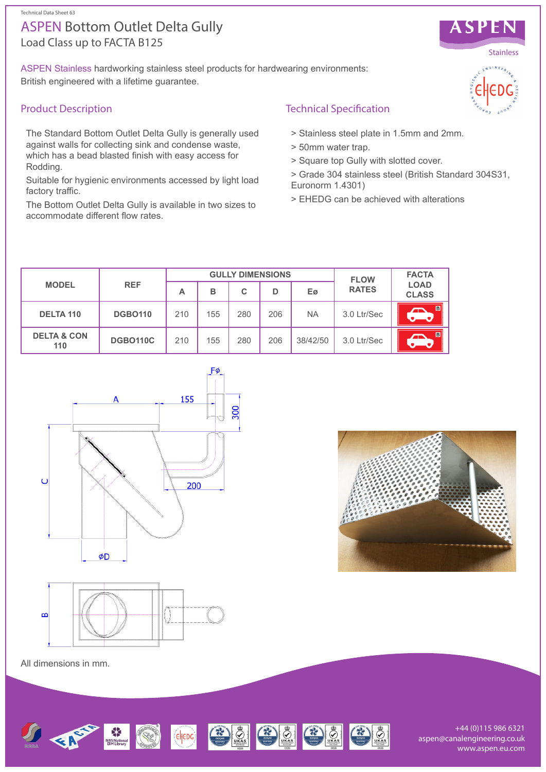# Load Class up to FACTA B125 ASPEN Bottom Outlet Delta Gully

ASPEN Stainless hardworking stainless steel products for hardwearing environments: British engineered with a lifetime guarantee.

## Product Description

The Standard Bottom Outlet Delta Gully is generally used against walls for collecting sink and condense waste, which has a bead blasted finish with easy access for Rodding.

Suitable for hygienic environments accessed by light load factory traffic.

The Bottom Outlet Delta Gully is available in two sizes to accommodate different flow rates.

### Technical Specification

- > Stainless steel plate in 1.5mm and 2mm.
- > 50mm water trap.
- > Square top Gully with slotted cover.
- > Grade 304 stainless steel (British Standard 304S31, Euronorm 1.4301)
- > EHEDG can be achieved with alterations

| <b>MODEL</b>                  | <b>REF</b>      | <b>GULLY DIMENSIONS</b> |     |     |     |           | <b>FLOW</b>  | <b>FACTA</b>                |
|-------------------------------|-----------------|-------------------------|-----|-----|-----|-----------|--------------|-----------------------------|
|                               |                 | А                       | в   | С   | D   | Eø        | <b>RATES</b> | <b>LOAD</b><br><b>CLASS</b> |
| DELTA 110                     | <b>DGBO110</b>  | 210                     | 155 | 280 | 206 | <b>NA</b> | 3.0 Ltr/Sec  | B                           |
| <b>DELTA &amp; CON</b><br>110 | <b>DGBO110C</b> | 210                     | 155 | 280 | 206 | 38/42/50  | 3.0 Ltr/Sec  | $\blacksquare$              |





All dimensions in mm.



+44 (0)115 986 6321 aspen@canalengineering.co.uk www.aspen.eu.com



ASPEN